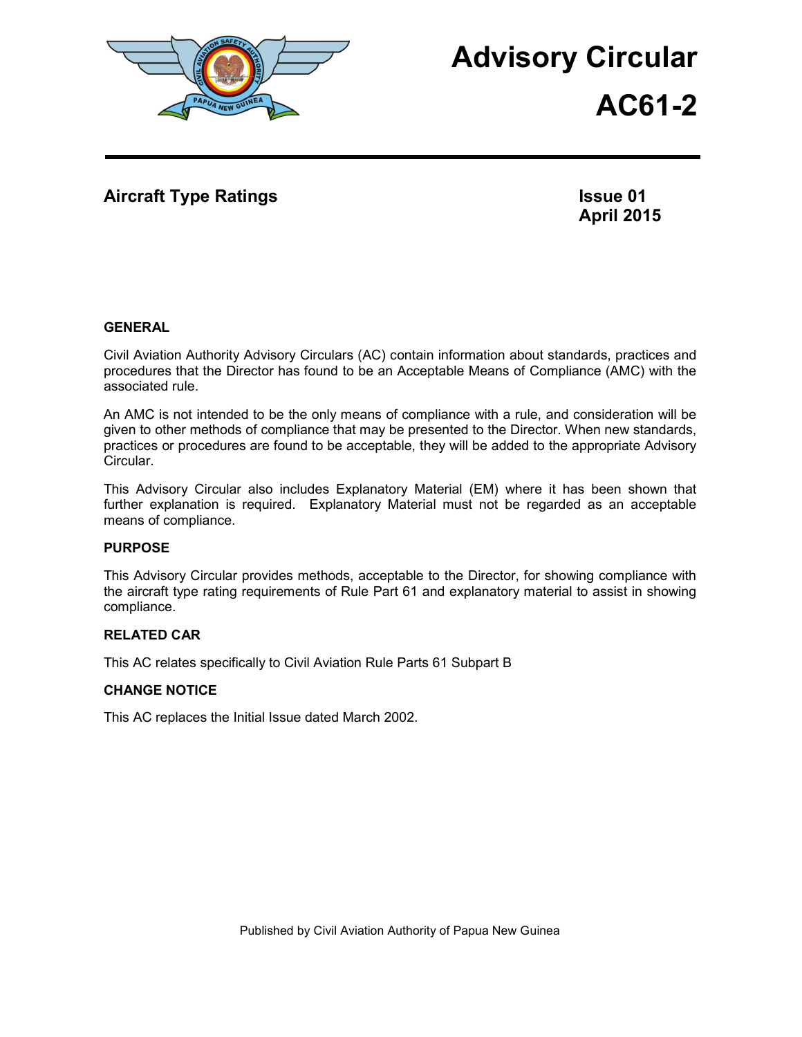

# **Advisory Circular**

**AC61-2**

## **Aircraft Type Ratings Issue 01**

**April 2015**

## **GENERAL**

Civil Aviation Authority Advisory Circulars (AC) contain information about standards, practices and procedures that the Director has found to be an Acceptable Means of Compliance (AMC) with the associated rule.

An AMC is not intended to be the only means of compliance with a rule, and consideration will be given to other methods of compliance that may be presented to the Director. When new standards, practices or procedures are found to be acceptable, they will be added to the appropriate Advisory Circular.

This Advisory Circular also includes Explanatory Material (EM) where it has been shown that further explanation is required. Explanatory Material must not be regarded as an acceptable means of compliance.

## **PURPOSE**

This Advisory Circular provides methods, acceptable to the Director, for showing compliance with the aircraft type rating requirements of Rule Part 61 and explanatory material to assist in showing compliance.

## **RELATED CAR**

This AC relates specifically to Civil Aviation Rule Parts 61 Subpart B

## **CHANGE NOTICE**

This AC replaces the Initial Issue dated March 2002.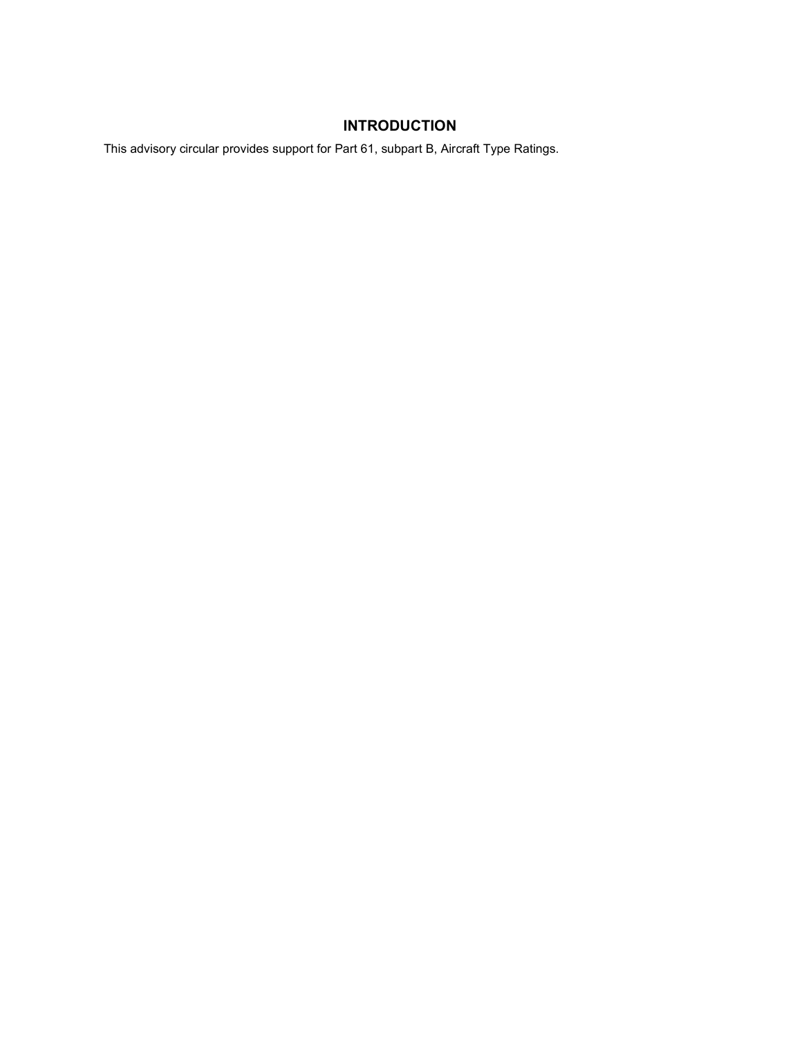# **INTRODUCTION**

This advisory circular provides support for Part 61, subpart B, Aircraft Type Ratings.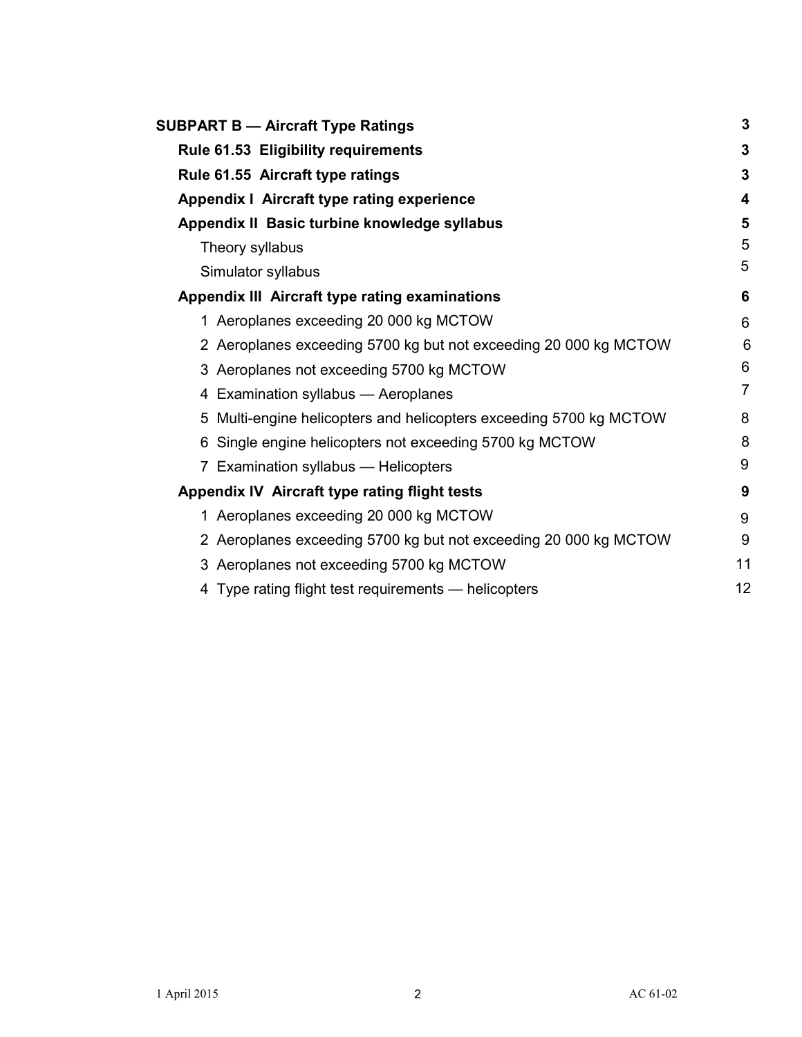| <b>SUBPART B - Aircraft Type Ratings</b>                           | 3              |  |  |  |
|--------------------------------------------------------------------|----------------|--|--|--|
| <b>Rule 61.53 Eligibility requirements</b>                         |                |  |  |  |
| Rule 61.55 Aircraft type ratings                                   |                |  |  |  |
| Appendix I Aircraft type rating experience                         | 4              |  |  |  |
| Appendix II Basic turbine knowledge syllabus                       | 5              |  |  |  |
| Theory syllabus                                                    |                |  |  |  |
| Simulator syllabus                                                 | 5              |  |  |  |
| <b>Appendix III Aircraft type rating examinations</b>              | 6              |  |  |  |
| 1 Aeroplanes exceeding 20 000 kg MCTOW                             | 6              |  |  |  |
| 2 Aeroplanes exceeding 5700 kg but not exceeding 20 000 kg MCTOW   | 6              |  |  |  |
| 3 Aeroplanes not exceeding 5700 kg MCTOW                           | 6              |  |  |  |
| 4 Examination syllabus - Aeroplanes                                | $\overline{7}$ |  |  |  |
| 5 Multi-engine helicopters and helicopters exceeding 5700 kg MCTOW | 8              |  |  |  |
| 6 Single engine helicopters not exceeding 5700 kg MCTOW            | 8              |  |  |  |
| Examination syllabus - Helicopters                                 | 9              |  |  |  |
| Appendix IV Aircraft type rating flight tests                      | 9              |  |  |  |
| 1 Aeroplanes exceeding 20 000 kg MCTOW                             | 9              |  |  |  |
| 2 Aeroplanes exceeding 5700 kg but not exceeding 20 000 kg MCTOW   | 9              |  |  |  |
| 3 Aeroplanes not exceeding 5700 kg MCTOW                           | 11             |  |  |  |
| 4 Type rating flight test requirements - helicopters               | 12             |  |  |  |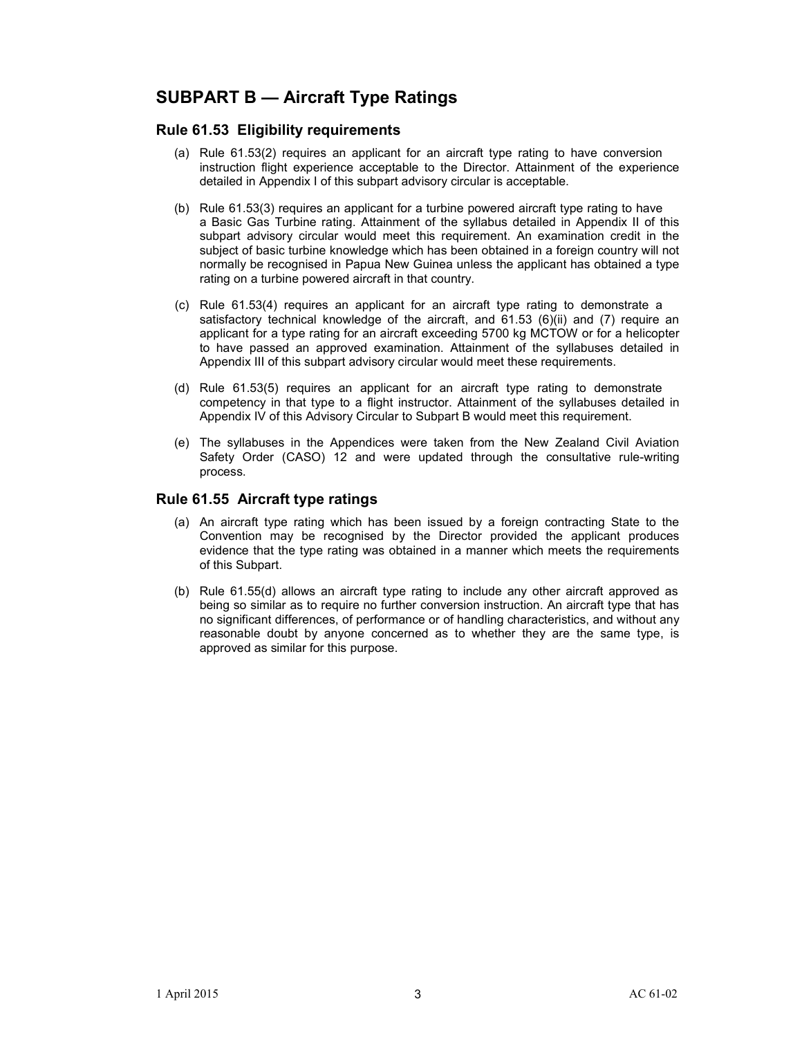# **SUBPART B — Aircraft Type Ratings**

## **Rule 61.53 Eligibility requirements**

- (a) Rule 61.53(2) requires an applicant for an aircraft type rating to have conversion instruction flight experience acceptable to the Director. Attainment of the experience detailed in Appendix I of this subpart advisory circular is acceptable.
- (b) Rule 61.53(3) requires an applicant for a turbine powered aircraft type rating to have a Basic Gas Turbine rating. Attainment of the syllabus detailed in Appendix II of this subpart advisory circular would meet this requirement. An examination credit in the subject of basic turbine knowledge which has been obtained in a foreign country will not normally be recognised in Papua New Guinea unless the applicant has obtained a type rating on a turbine powered aircraft in that country.
- (c) Rule 61.53(4) requires an applicant for an aircraft type rating to demonstrate a satisfactory technical knowledge of the aircraft, and 61.53 (6)(ii) and (7) require an applicant for a type rating for an aircraft exceeding 5700 kg MCTOW or for a helicopter to have passed an approved examination. Attainment of the syllabuses detailed in Appendix III of this subpart advisory circular would meet these requirements.
- (d) Rule 61.53(5) requires an applicant for an aircraft type rating to demonstrate competency in that type to a flight instructor. Attainment of the syllabuses detailed in Appendix IV of this Advisory Circular to Subpart B would meet this requirement.
- (e) The syllabuses in the Appendices were taken from the New Zealand Civil Aviation Safety Order (CASO) 12 and were updated through the consultative rule-writing process.

## **Rule 61.55 Aircraft type ratings**

- (a) An aircraft type rating which has been issued by a foreign contracting State to the Convention may be recognised by the Director provided the applicant produces evidence that the type rating was obtained in a manner which meets the requirements of this Subpart.
- (b) Rule 61.55(d) allows an aircraft type rating to include any other aircraft approved as being so similar as to require no further conversion instruction. An aircraft type that has no significant differences, of performance or of handling characteristics, and without any reasonable doubt by anyone concerned as to whether they are the same type, is approved as similar for this purpose.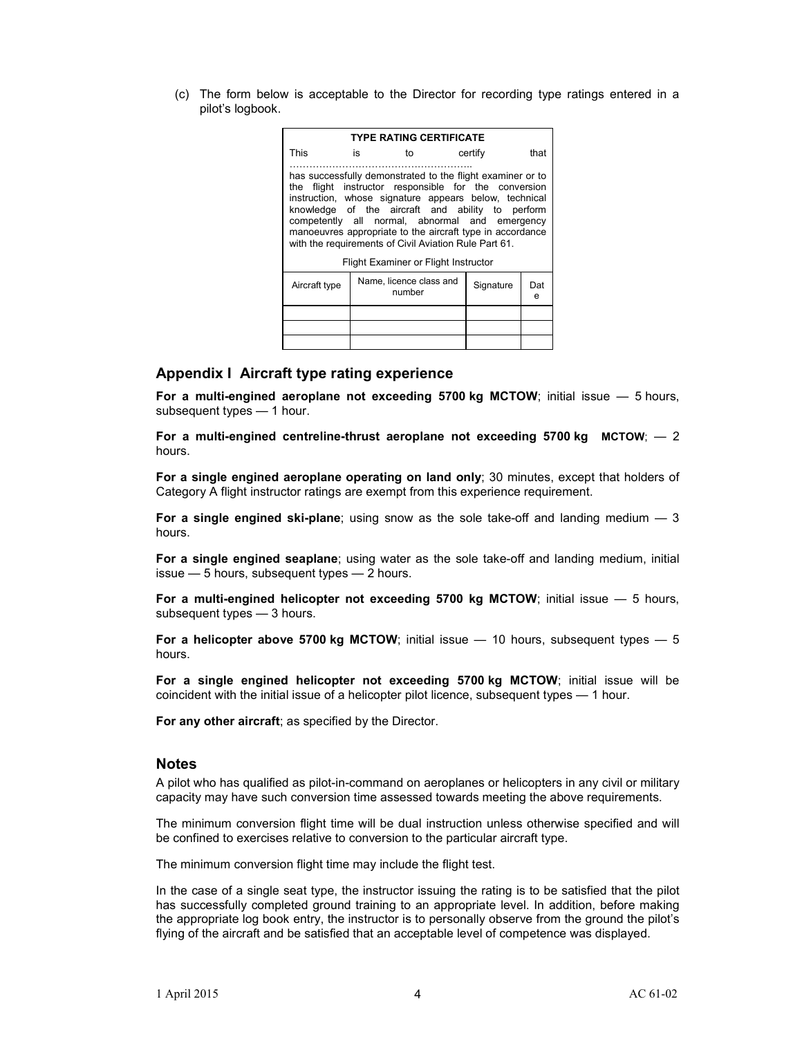(c) The form below is acceptable to the Director for recording type ratings entered in a pilot's logbook.

| <b>TYPE RATING CERTIFICATE</b>                                                                                                                                                                                                                                                                                                                                                                          |                                   |    |           |          |      |  |  |
|---------------------------------------------------------------------------------------------------------------------------------------------------------------------------------------------------------------------------------------------------------------------------------------------------------------------------------------------------------------------------------------------------------|-----------------------------------|----|-----------|----------|------|--|--|
| This                                                                                                                                                                                                                                                                                                                                                                                                    | is                                | to |           | certify  | that |  |  |
| has successfully demonstrated to the flight examiner or to<br>the flight instructor responsible for the conversion<br>instruction, whose signature appears below, technical<br>knowledge of the aircraft and ability to perform<br>competently all normal, abnormal and emergency<br>manoeuvres appropriate to the aircraft type in accordance<br>with the requirements of Civil Aviation Rule Part 61. |                                   |    |           |          |      |  |  |
| <b>Flight Examiner or Flight Instructor</b>                                                                                                                                                                                                                                                                                                                                                             |                                   |    |           |          |      |  |  |
| Aircraft type                                                                                                                                                                                                                                                                                                                                                                                           | Name, licence class and<br>number |    | Signature | Dat<br>e |      |  |  |
|                                                                                                                                                                                                                                                                                                                                                                                                         |                                   |    |           |          |      |  |  |
|                                                                                                                                                                                                                                                                                                                                                                                                         |                                   |    |           |          |      |  |  |
|                                                                                                                                                                                                                                                                                                                                                                                                         |                                   |    |           |          |      |  |  |

### **Appendix I Aircraft type rating experience**

**For a multi-engined aeroplane not exceeding 5700 kg MCTOW**; initial issue — 5 hours, subsequent types — 1 hour.

**For a multi-engined centreline-thrust aeroplane not exceeding 5700 kg MCTOW**; — 2 hours.

**For a single engined aeroplane operating on land only**; 30 minutes, except that holders of Category A flight instructor ratings are exempt from this experience requirement.

**For a single engined ski-plane**; using snow as the sole take-off and landing medium — 3 hours.

**For a single engined seaplane**; using water as the sole take-off and landing medium, initial issue — 5 hours, subsequent types — 2 hours.

**For a multi-engined helicopter not exceeding 5700 kg MCTOW**; initial issue — 5 hours, subsequent types — 3 hours.

**For a helicopter above 5700 kg MCTOW**; initial issue  $-$  10 hours, subsequent types  $-$  5 hours.

**For a single engined helicopter not exceeding 5700 kg MCTOW**; initial issue will be coincident with the initial issue of a helicopter pilot licence, subsequent types — 1 hour.

**For any other aircraft**; as specified by the Director.

#### **Notes**

A pilot who has qualified as pilot-in-command on aeroplanes or helicopters in any civil or military capacity may have such conversion time assessed towards meeting the above requirements.

The minimum conversion flight time will be dual instruction unless otherwise specified and will be confined to exercises relative to conversion to the particular aircraft type.

The minimum conversion flight time may include the flight test.

In the case of a single seat type, the instructor issuing the rating is to be satisfied that the pilot has successfully completed ground training to an appropriate level. In addition, before making the appropriate log book entry, the instructor is to personally observe from the ground the pilot's flying of the aircraft and be satisfied that an acceptable level of competence was displayed.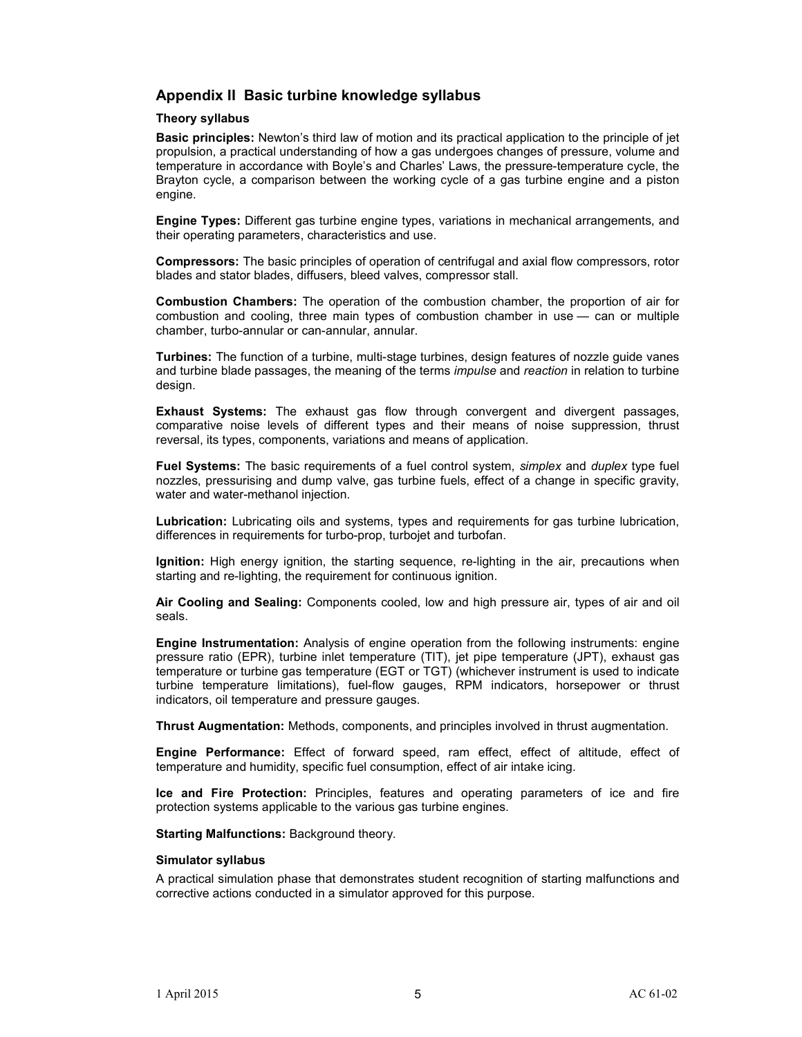## **Appendix II Basic turbine knowledge syllabus**

#### **Theory syllabus**

**Basic principles:** Newton's third law of motion and its practical application to the principle of jet propulsion, a practical understanding of how a gas undergoes changes of pressure, volume and temperature in accordance with Boyle's and Charles' Laws, the pressure-temperature cycle, the Brayton cycle, a comparison between the working cycle of a gas turbine engine and a piston engine.

**Engine Types:** Different gas turbine engine types, variations in mechanical arrangements, and their operating parameters, characteristics and use.

**Compressors:** The basic principles of operation of centrifugal and axial flow compressors, rotor blades and stator blades, diffusers, bleed valves, compressor stall.

**Combustion Chambers:** The operation of the combustion chamber, the proportion of air for combustion and cooling, three main types of combustion chamber in use — can or multiple chamber, turbo-annular or can-annular, annular.

**Turbines:** The function of a turbine, multi-stage turbines, design features of nozzle guide vanes and turbine blade passages, the meaning of the terms *impulse* and *reaction* in relation to turbine design.

**Exhaust Systems:** The exhaust gas flow through convergent and divergent passages, comparative noise levels of different types and their means of noise suppression, thrust reversal, its types, components, variations and means of application.

**Fuel Systems:** The basic requirements of a fuel control system, *simplex* and *duplex* type fuel nozzles, pressurising and dump valve, gas turbine fuels, effect of a change in specific gravity, water and water-methanol injection.

**Lubrication:** Lubricating oils and systems, types and requirements for gas turbine lubrication, differences in requirements for turbo-prop, turbojet and turbofan.

**Ignition:** High energy ignition, the starting sequence, re-lighting in the air, precautions when starting and re-lighting, the requirement for continuous ignition.

**Air Cooling and Sealing:** Components cooled, low and high pressure air, types of air and oil seals.

**Engine Instrumentation:** Analysis of engine operation from the following instruments: engine pressure ratio (EPR), turbine inlet temperature (TIT), jet pipe temperature (JPT), exhaust gas temperature or turbine gas temperature (EGT or TGT) (whichever instrument is used to indicate turbine temperature limitations), fuel-flow gauges, RPM indicators, horsepower or thrust indicators, oil temperature and pressure gauges.

**Thrust Augmentation:** Methods, components, and principles involved in thrust augmentation.

**Engine Performance:** Effect of forward speed, ram effect, effect of altitude, effect of temperature and humidity, specific fuel consumption, effect of air intake icing.

**Ice and Fire Protection:** Principles, features and operating parameters of ice and fire protection systems applicable to the various gas turbine engines.

**Starting Malfunctions:** Background theory.

#### **Simulator syllabus**

A practical simulation phase that demonstrates student recognition of starting malfunctions and corrective actions conducted in a simulator approved for this purpose.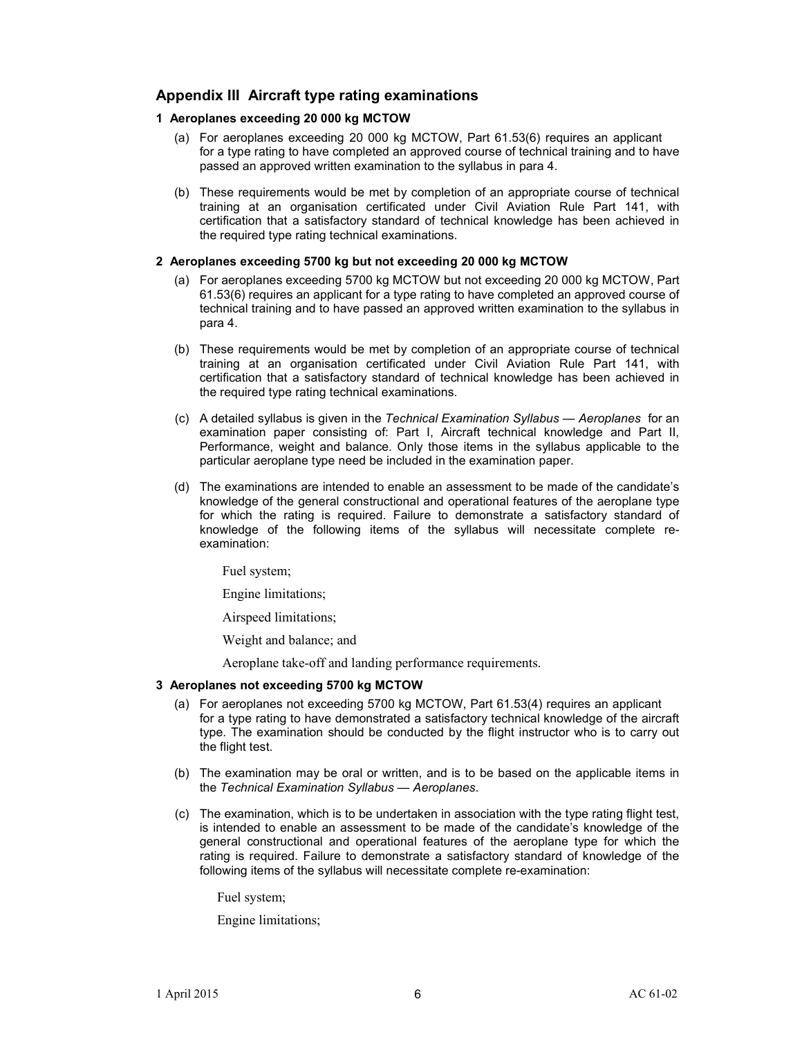## **Appendix III Aircraft type rating examinations**

#### **1 Aeroplanes exceeding 20 000 kg MCTOW**

- (a) For aeroplanes exceeding 20 000 kg MCTOW, Part 61.53(6) requires an applicant for a type rating to have completed an approved course of technical training and to have passed an approved written examination to the syllabus in para 4.
- (b) These requirements would be met by completion of an appropriate course of technical training at an organisation certificated under Civil Aviation Rule Part 141, with certification that a satisfactory standard of technical knowledge has been achieved in the required type rating technical examinations.

#### **2 Aeroplanes exceeding 5700 kg but not exceeding 20 000 kg MCTOW**

- (a) For aeroplanes exceeding 5700 kg MCTOW but not exceeding 20 000 kg MCTOW, Part 61.53(6) requires an applicant for a type rating to have completed an approved course of technical training and to have passed an approved written examination to the syllabus in para 4.
- (b) These requirements would be met by completion of an appropriate course of technical training at an organisation certificated under Civil Aviation Rule Part 141, with certification that a satisfactory standard of technical knowledge has been achieved in the required type rating technical examinations.
- (c) A detailed syllabus is given in the *Technical Examination Syllabus Aeroplanes* for an examination paper consisting of: Part I, Aircraft technical knowledge and Part II, Performance, weight and balance. Only those items in the syllabus applicable to the particular aeroplane type need be included in the examination paper.
- (d) The examinations are intended to enable an assessment to be made of the candidate's knowledge of the general constructional and operational features of the aeroplane type for which the rating is required. Failure to demonstrate a satisfactory standard of knowledge of the following items of the syllabus will necessitate complete reexamination:

Fuel system;

Engine limitations;

Airspeed limitations;

Weight and balance; and

Aeroplane take-off and landing performance requirements.

#### **3 Aeroplanes not exceeding 5700 kg MCTOW**

- (a) For aeroplanes not exceeding 5700 kg MCTOW, Part 61.53(4) requires an applicant for a type rating to have demonstrated a satisfactory technical knowledge of the aircraft type. The examination should be conducted by the flight instructor who is to carry out the flight test.
- (b) The examination may be oral or written, and is to be based on the applicable items in the *Technical Examination Syllabus — Aeroplanes*.
- (c) The examination, which is to be undertaken in association with the type rating flight test, is intended to enable an assessment to be made of the candidate's knowledge of the general constructional and operational features of the aeroplane type for which the rating is required. Failure to demonstrate a satisfactory standard of knowledge of the following items of the syllabus will necessitate complete re-examination:

Fuel system;

Engine limitations;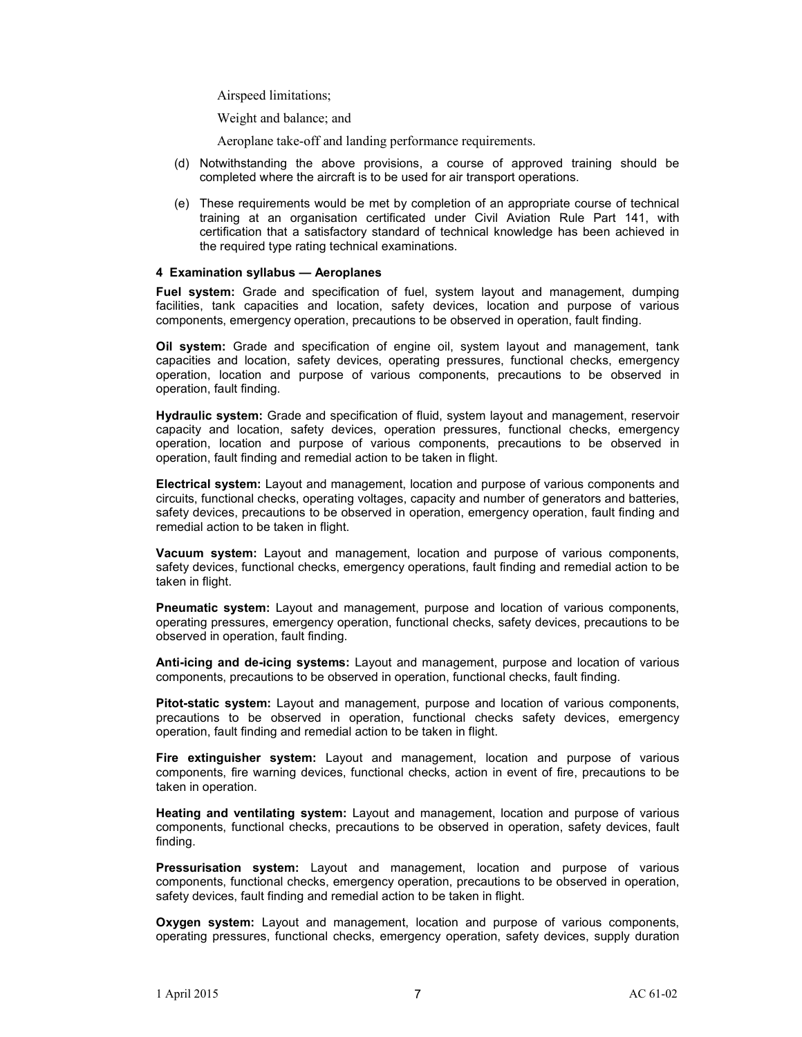Airspeed limitations;

Weight and balance; and

Aeroplane take-off and landing performance requirements.

- (d) Notwithstanding the above provisions, a course of approved training should be completed where the aircraft is to be used for air transport operations.
- (e) These requirements would be met by completion of an appropriate course of technical training at an organisation certificated under Civil Aviation Rule Part 141, with certification that a satisfactory standard of technical knowledge has been achieved in the required type rating technical examinations.

#### **4 Examination syllabus — Aeroplanes**

**Fuel system:** Grade and specification of fuel, system layout and management, dumping facilities, tank capacities and location, safety devices, location and purpose of various components, emergency operation, precautions to be observed in operation, fault finding.

**Oil system:** Grade and specification of engine oil, system layout and management, tank capacities and location, safety devices, operating pressures, functional checks, emergency operation, location and purpose of various components, precautions to be observed in operation, fault finding.

**Hydraulic system:** Grade and specification of fluid, system layout and management, reservoir capacity and location, safety devices, operation pressures, functional checks, emergency operation, location and purpose of various components, precautions to be observed in operation, fault finding and remedial action to be taken in flight.

**Electrical system:** Layout and management, location and purpose of various components and circuits, functional checks, operating voltages, capacity and number of generators and batteries, safety devices, precautions to be observed in operation, emergency operation, fault finding and remedial action to be taken in flight.

**Vacuum system:** Layout and management, location and purpose of various components, safety devices, functional checks, emergency operations, fault finding and remedial action to be taken in flight.

**Pneumatic system:** Layout and management, purpose and location of various components, operating pressures, emergency operation, functional checks, safety devices, precautions to be observed in operation, fault finding.

**Anti-icing and de-icing systems:** Layout and management, purpose and location of various components, precautions to be observed in operation, functional checks, fault finding.

**Pitot-static system:** Layout and management, purpose and location of various components, precautions to be observed in operation, functional checks safety devices, emergency operation, fault finding and remedial action to be taken in flight.

**Fire extinguisher system:** Layout and management, location and purpose of various components, fire warning devices, functional checks, action in event of fire, precautions to be taken in operation.

**Heating and ventilating system:** Layout and management, location and purpose of various components, functional checks, precautions to be observed in operation, safety devices, fault finding.

**Pressurisation system:** Layout and management, location and purpose of various components, functional checks, emergency operation, precautions to be observed in operation, safety devices, fault finding and remedial action to be taken in flight.

**Oxygen system:** Layout and management, location and purpose of various components, operating pressures, functional checks, emergency operation, safety devices, supply duration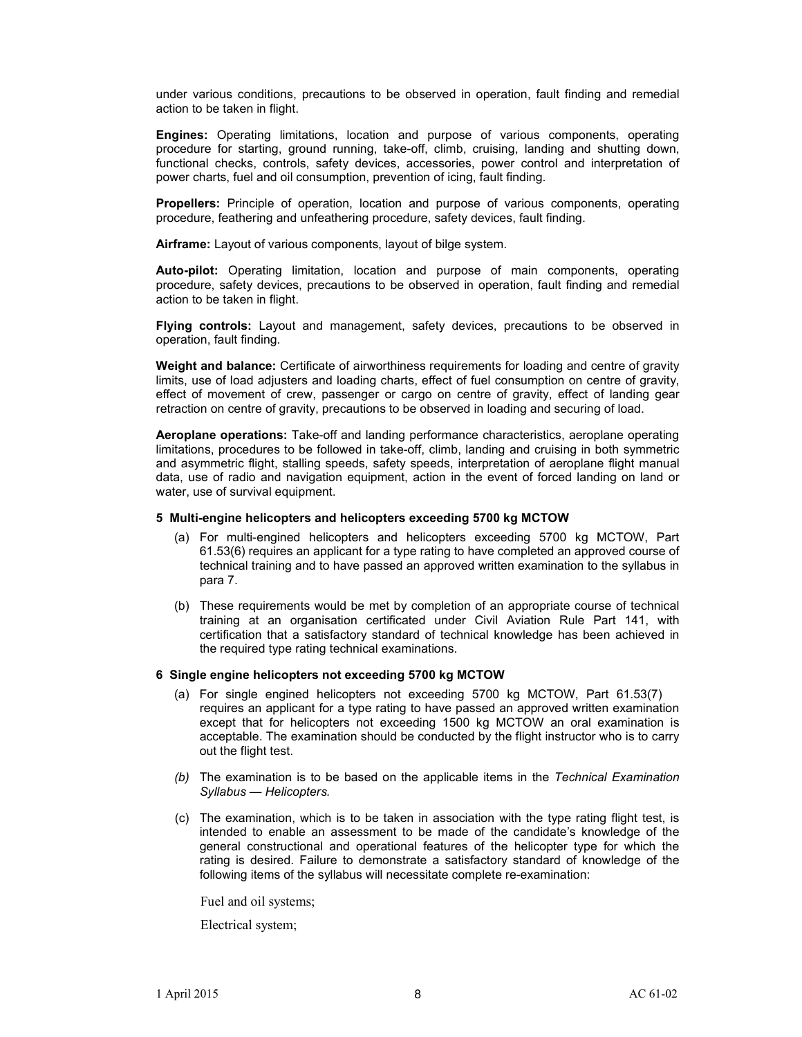under various conditions, precautions to be observed in operation, fault finding and remedial action to be taken in flight.

**Engines:** Operating limitations, location and purpose of various components, operating procedure for starting, ground running, take-off, climb, cruising, landing and shutting down, functional checks, controls, safety devices, accessories, power control and interpretation of power charts, fuel and oil consumption, prevention of icing, fault finding.

**Propellers:** Principle of operation, location and purpose of various components, operating procedure, feathering and unfeathering procedure, safety devices, fault finding.

**Airframe:** Layout of various components, layout of bilge system.

**Auto-pilot:** Operating limitation, location and purpose of main components, operating procedure, safety devices, precautions to be observed in operation, fault finding and remedial action to be taken in flight.

**Flying controls:** Layout and management, safety devices, precautions to be observed in operation, fault finding.

**Weight and balance:** Certificate of airworthiness requirements for loading and centre of gravity limits, use of load adjusters and loading charts, effect of fuel consumption on centre of gravity, effect of movement of crew, passenger or cargo on centre of gravity, effect of landing gear retraction on centre of gravity, precautions to be observed in loading and securing of load.

**Aeroplane operations:** Take-off and landing performance characteristics, aeroplane operating limitations, procedures to be followed in take-off, climb, landing and cruising in both symmetric and asymmetric flight, stalling speeds, safety speeds, interpretation of aeroplane flight manual data, use of radio and navigation equipment, action in the event of forced landing on land or water, use of survival equipment.

#### **5 Multi-engine helicopters and helicopters exceeding 5700 kg MCTOW**

- (a) For multi-engined helicopters and helicopters exceeding 5700 kg MCTOW, Part 61.53(6) requires an applicant for a type rating to have completed an approved course of technical training and to have passed an approved written examination to the syllabus in para 7.
- (b) These requirements would be met by completion of an appropriate course of technical training at an organisation certificated under Civil Aviation Rule Part 141, with certification that a satisfactory standard of technical knowledge has been achieved in the required type rating technical examinations.

#### **6 Single engine helicopters not exceeding 5700 kg MCTOW**

- (a) For single engined helicopters not exceeding 5700 kg MCTOW, Part 61.53(7) requires an applicant for a type rating to have passed an approved written examination except that for helicopters not exceeding 1500 kg MCTOW an oral examination is acceptable. The examination should be conducted by the flight instructor who is to carry out the flight test.
- *(b)* The examination is to be based on the applicable items in the *Technical Examination Syllabus — Helicopters.*
- (c) The examination, which is to be taken in association with the type rating flight test, is intended to enable an assessment to be made of the candidate's knowledge of the general constructional and operational features of the helicopter type for which the rating is desired. Failure to demonstrate a satisfactory standard of knowledge of the following items of the syllabus will necessitate complete re-examination:

Fuel and oil systems;

Electrical system;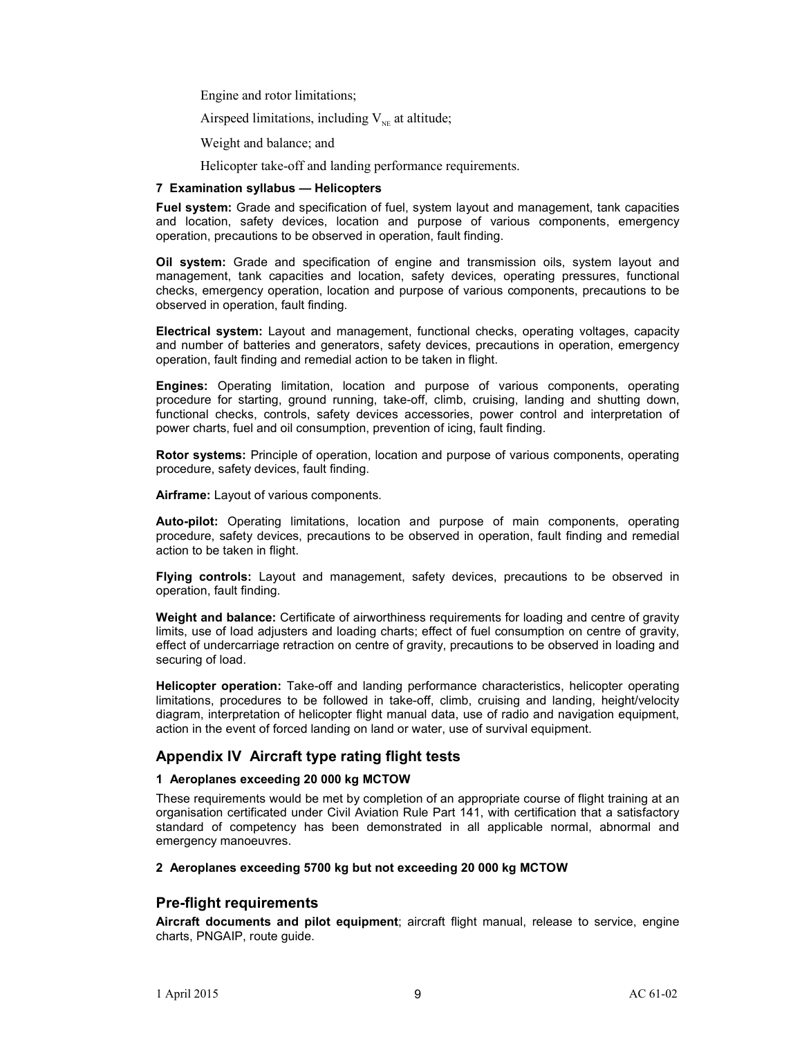Engine and rotor limitations;

Airspeed limitations, including  $V_{NE}$  at altitude;

Weight and balance; and

Helicopter take-off and landing performance requirements.

#### **7 Examination syllabus — Helicopters**

**Fuel system:** Grade and specification of fuel, system layout and management, tank capacities and location, safety devices, location and purpose of various components, emergency operation, precautions to be observed in operation, fault finding.

**Oil system:** Grade and specification of engine and transmission oils, system layout and management, tank capacities and location, safety devices, operating pressures, functional checks, emergency operation, location and purpose of various components, precautions to be observed in operation, fault finding.

**Electrical system:** Layout and management, functional checks, operating voltages, capacity and number of batteries and generators, safety devices, precautions in operation, emergency operation, fault finding and remedial action to be taken in flight.

**Engines:** Operating limitation, location and purpose of various components, operating procedure for starting, ground running, take-off, climb, cruising, landing and shutting down, functional checks, controls, safety devices accessories, power control and interpretation of power charts, fuel and oil consumption, prevention of icing, fault finding.

**Rotor systems:** Principle of operation, location and purpose of various components, operating procedure, safety devices, fault finding.

**Airframe:** Layout of various components.

**Auto-pilot:** Operating limitations, location and purpose of main components, operating procedure, safety devices, precautions to be observed in operation, fault finding and remedial action to be taken in flight.

**Flying controls:** Layout and management, safety devices, precautions to be observed in operation, fault finding.

**Weight and balance:** Certificate of airworthiness requirements for loading and centre of gravity limits, use of load adjusters and loading charts; effect of fuel consumption on centre of gravity, effect of undercarriage retraction on centre of gravity, precautions to be observed in loading and securing of load.

**Helicopter operation:** Take-off and landing performance characteristics, helicopter operating limitations, procedures to be followed in take-off, climb, cruising and landing, height/velocity diagram, interpretation of helicopter flight manual data, use of radio and navigation equipment, action in the event of forced landing on land or water, use of survival equipment.

## **Appendix IV Aircraft type rating flight tests**

#### **1 Aeroplanes exceeding 20 000 kg MCTOW**

These requirements would be met by completion of an appropriate course of flight training at an organisation certificated under Civil Aviation Rule Part 141, with certification that a satisfactory standard of competency has been demonstrated in all applicable normal, abnormal and emergency manoeuvres.

#### **2 Aeroplanes exceeding 5700 kg but not exceeding 20 000 kg MCTOW**

## **Pre-flight requirements**

**Aircraft documents and pilot equipment**; aircraft flight manual, release to service, engine charts, PNGAIP, route guide.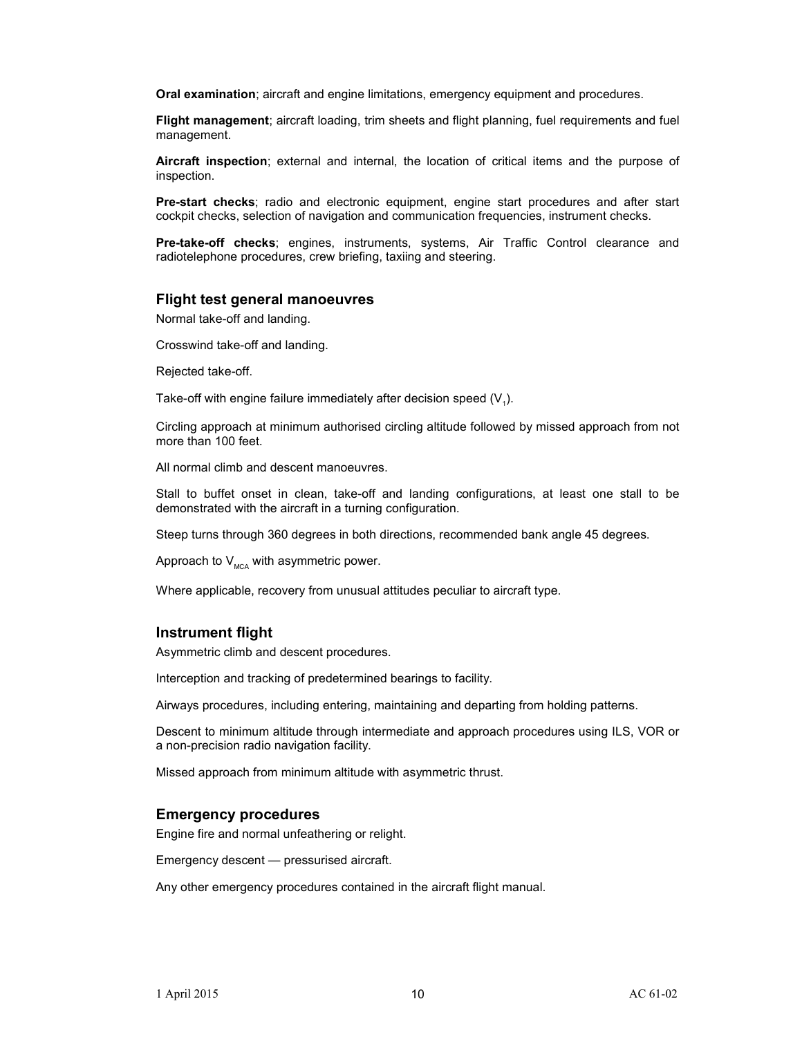**Oral examination**; aircraft and engine limitations, emergency equipment and procedures.

**Flight management**; aircraft loading, trim sheets and flight planning, fuel requirements and fuel management.

**Aircraft inspection**; external and internal, the location of critical items and the purpose of inspection.

**Pre-start checks**; radio and electronic equipment, engine start procedures and after start cockpit checks, selection of navigation and communication frequencies, instrument checks.

**Pre-take-off checks**; engines, instruments, systems, Air Traffic Control clearance and radiotelephone procedures, crew briefing, taxiing and steering.

#### **Flight test general manoeuvres**

Normal take-off and landing.

Crosswind take-off and landing.

Rejected take-off.

Take-off with engine failure immediately after decision speed  $(V_1)$ .

Circling approach at minimum authorised circling altitude followed by missed approach from not more than 100 feet.

All normal climb and descent manoeuvres.

Stall to buffet onset in clean, take-off and landing configurations, at least one stall to be demonstrated with the aircraft in a turning configuration.

Steep turns through 360 degrees in both directions, recommended bank angle 45 degrees.

Approach to  $V_{MCA}$  with asymmetric power.

Where applicable, recovery from unusual attitudes peculiar to aircraft type.

#### **Instrument flight**

Asymmetric climb and descent procedures.

Interception and tracking of predetermined bearings to facility.

Airways procedures, including entering, maintaining and departing from holding patterns.

Descent to minimum altitude through intermediate and approach procedures using ILS, VOR or a non-precision radio navigation facility.

Missed approach from minimum altitude with asymmetric thrust.

#### **Emergency procedures**

Engine fire and normal unfeathering or relight.

Emergency descent — pressurised aircraft.

Any other emergency procedures contained in the aircraft flight manual.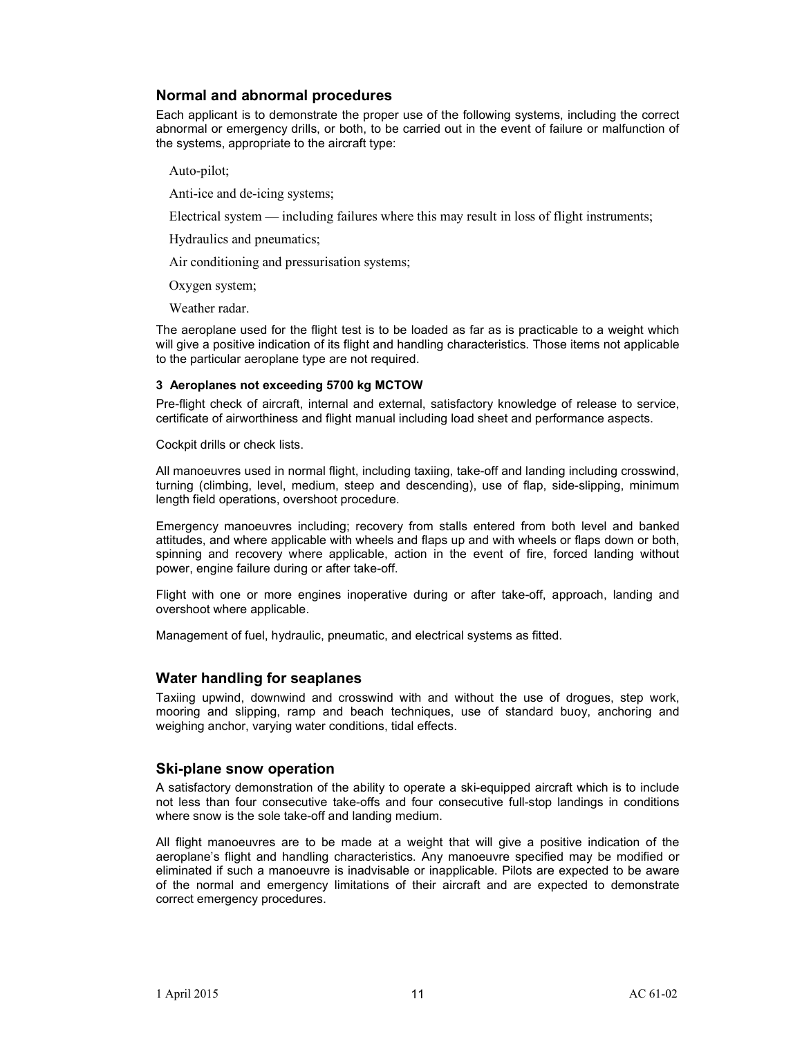## **Normal and abnormal procedures**

Each applicant is to demonstrate the proper use of the following systems, including the correct abnormal or emergency drills, or both, to be carried out in the event of failure or malfunction of the systems, appropriate to the aircraft type:

Auto-pilot;

Anti-ice and de-icing systems;

Electrical system — including failures where this may result in loss of flight instruments;

Hydraulics and pneumatics;

Air conditioning and pressurisation systems;

Oxygen system;

Weather radar.

The aeroplane used for the flight test is to be loaded as far as is practicable to a weight which will give a positive indication of its flight and handling characteristics. Those items not applicable to the particular aeroplane type are not required.

#### **3 Aeroplanes not exceeding 5700 kg MCTOW**

Pre-flight check of aircraft, internal and external, satisfactory knowledge of release to service, certificate of airworthiness and flight manual including load sheet and performance aspects.

Cockpit drills or check lists.

All manoeuvres used in normal flight, including taxiing, take-off and landing including crosswind, turning (climbing, level, medium, steep and descending), use of flap, side-slipping, minimum length field operations, overshoot procedure.

Emergency manoeuvres including; recovery from stalls entered from both level and banked attitudes, and where applicable with wheels and flaps up and with wheels or flaps down or both, spinning and recovery where applicable, action in the event of fire, forced landing without power, engine failure during or after take-off.

Flight with one or more engines inoperative during or after take-off, approach, landing and overshoot where applicable.

Management of fuel, hydraulic, pneumatic, and electrical systems as fitted.

#### **Water handling for seaplanes**

Taxiing upwind, downwind and crosswind with and without the use of drogues, step work, mooring and slipping, ramp and beach techniques, use of standard buoy, anchoring and weighing anchor, varying water conditions, tidal effects.

#### **Ski-plane snow operation**

A satisfactory demonstration of the ability to operate a ski-equipped aircraft which is to include not less than four consecutive take-offs and four consecutive full-stop landings in conditions where snow is the sole take-off and landing medium.

All flight manoeuvres are to be made at a weight that will give a positive indication of the aeroplane's flight and handling characteristics. Any manoeuvre specified may be modified or eliminated if such a manoeuvre is inadvisable or inapplicable. Pilots are expected to be aware of the normal and emergency limitations of their aircraft and are expected to demonstrate correct emergency procedures.